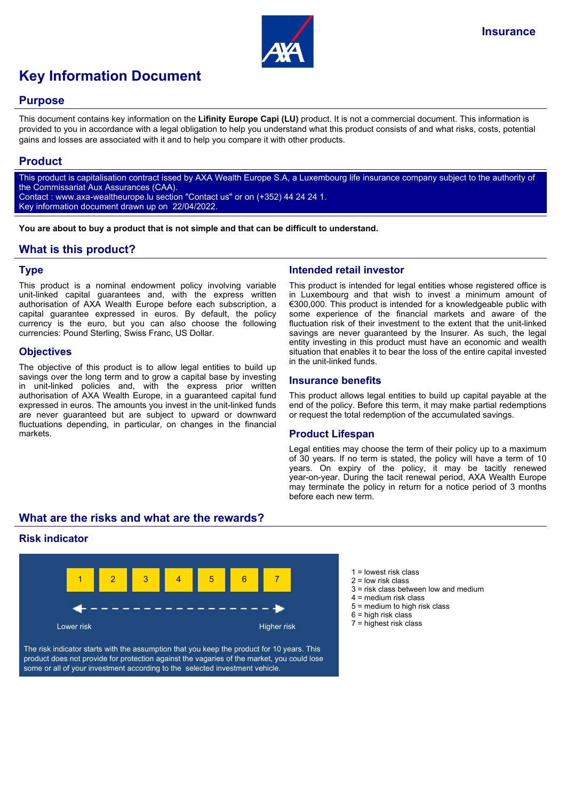

# **Key Information Document**

#### **Purpose**

This document contains key information on the **Lifinity Europe Capi (LU)** product. It is not a commercial document. This information is provided to you in accordance with a legal obligation to help you understand what this product consists of and what risks, costs, potential gains and losses are associated with it and to help you compare it with other products.

# **Product**

This product is capitalisation contract issed by AXA Wealth Europe S.A, a Luxembourg life insurance company subject to the authority of the Commissariat Aux Assurances (CAA). Contact : www.axa-wealtheurope.lu section "Contact us" or on (+352) 44 24 24 1. Key information document drawn up on 22/04/2022.

**You are about to buy a product that is not simple and that can be difficult to understand.**

# **What is this product?**

#### **Type**

This product is a nominal endowment policy involving variable unit-linked capital guarantees and, with the express written authorisation of AXA Wealth Europe before each subscription, a capital guarantee expressed in euros. By default, the policy currency is the euro, but you can also choose the following currencies: Pound Sterling, Swiss Franc, US Dollar.

#### **Objectives**

The objective of this product is to allow legal entities to build up savings over the long term and to grow a capital base by investing in unit-linked policies and, with the express prior written authorisation of AXA Wealth Europe, in a guaranteed capital fund expressed in euros. The amounts you invest in the unit-linked funds are never guaranteed but are subject to upward or downward fluctuations depending, in particular, on changes in the financial markets.

# **Intended retail investor**

This product is intended for legal entities whose registered office is in Luxembourg and that wish to invest a minimum amount of €300,000. This product is intended for a knowledgeable public with some experience of the financial markets and aware of the fluctuation risk of their investment to the extent that the unit-linked savings are never guaranteed by the Insurer. As such, the legal entity investing in this product must have an economic and wealth situation that enables it to bear the loss of the entire capital invested in the unit-linked funds.

#### **Insurance benefits**

This product allows legal entities to build up capital payable at the end of the policy. Before this term, it may make partial redemptions or request the total redemption of the accumulated savings.

#### **Product Lifespan**

Legal entities may choose the term of their policy up to a maximum of 30 years. If no term is stated, the policy will have a term of 10 years. On expiry of the policy, it may be tacitly renewed year-on-year. During the tacit renewal period, AXA Wealth Europe may terminate the policy in return for a notice period of 3 months before each new term.

# **What are the risks and what are the rewards?**

# **Risk indicator**



The risk indicator starts with the assumption that you keep the product for 10 years. This product does not provide for protection against the vagaries of the market, you could lose some or all of your investment according to the selected investment vehicle.

- $1$  = lowest risk class
- $2 =$  low risk class
- 3 = risk class between low and medium
- 4 = medium risk class
- 5 = medium to high risk class
- $6$  = high risk class
- 7 = highest risk class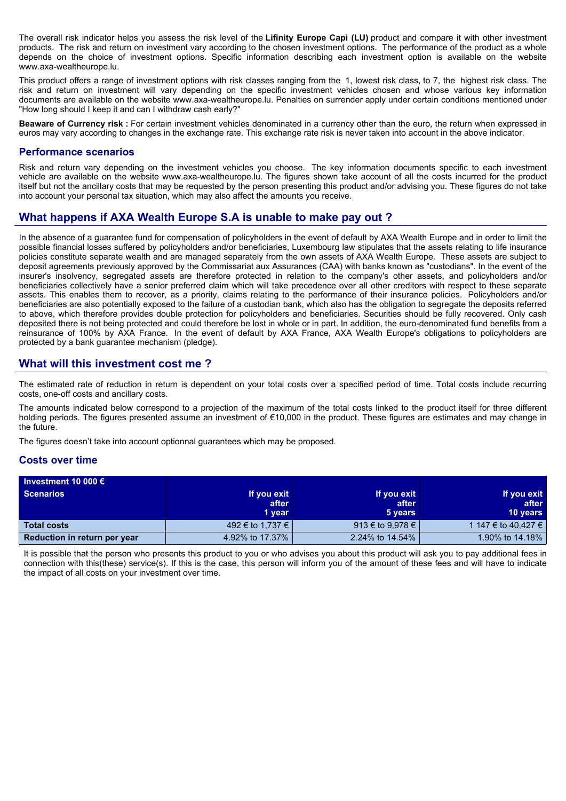The overall risk indicator helps you assess the risk level of the **Lifinity Europe Capi (LU)** product and compare it with other investment products. The risk and return on investment vary according to the chosen investment options. The performance of the product as a whole depends on the choice of investment options. Specific information describing each investment option is available on the website www.axa-wealtheurope.lu.

This product offers a range of investment options with risk classes ranging from the 1, lowest risk class, to 7, the highest risk class. The risk and return on investment will vary depending on the specific investment vehicles chosen and whose various key information documents are available on the website www.axa-wealtheurope.lu. Penalties on surrender apply under certain conditions mentioned under "How long should I keep it and can I withdraw cash early?"

**Beaware of Currency risk :** For certain investment vehicles denominated in a currency other than the euro, the return when expressed in euros may vary according to changes in the exchange rate. This exchange rate risk is never taken into account in the above indicator.

#### **Performance scenarios**

Risk and return vary depending on the investment vehicles you choose. The key information documents specific to each investment vehicle are available on the website www.axa-wealtheurope.lu. The figures shown take account of all the costs incurred for the product itself but not the ancillary costs that may be requested by the person presenting this product and/or advising you. These figures do not take into account your personal tax situation, which may also affect the amounts you receive.

# **What happens if AXA Wealth Europe S.A is unable to make pay out ?**

In the absence of a guarantee fund for compensation of policyholders in the event of default by AXA Wealth Europe and in order to limit the possible financial losses suffered by policyholders and/or beneficiaries, Luxembourg law stipulates that the assets relating to life insurance policies constitute separate wealth and are managed separately from the own assets of AXA Wealth Europe. These assets are subject to deposit agreements previously approved by the Commissariat aux Assurances (CAA) with banks known as "custodians". In the event of the insurer's insolvency, segregated assets are therefore protected in relation to the company's other assets, and policyholders and/or beneficiaries collectively have a senior preferred claim which will take precedence over all other creditors with respect to these separate assets. This enables them to recover, as a priority, claims relating to the performance of their insurance policies. Policyholders and/or beneficiaries are also potentially exposed to the failure of a custodian bank, which also has the obligation to segregate the deposits referred to above, which therefore provides double protection for policyholders and beneficiaries. Securities should be fully recovered. Only cash deposited there is not being protected and could therefore be lost in whole or in part. In addition, the euro-denominated fund benefits from a reinsurance of 100% by AXA France. In the event of default by AXA France, AXA Wealth Europe's obligations to policyholders are protected by a bank guarantee mechanism (pledge).

#### **What will this investment cost me ?**

The estimated rate of reduction in return is dependent on your total costs over a specified period of time. Total costs include recurring costs, one-off costs and ancillary costs.

The amounts indicated below correspond to a projection of the maximum of the total costs linked to the product itself for three different holding periods. The figures presented assume an investment of €10,000 in the product. These figures are estimates and may change in the future.

The figures doesn't take into account optionnal guarantees which may be proposed.

#### **Costs over time**

| Investment 10 000 $\epsilon$ |                  |                  |                     |
|------------------------------|------------------|------------------|---------------------|
| <b>Scenarios</b>             | If you exit      | If you exit      | If you exit         |
|                              | after            | after            | after               |
|                              | 1 year           | 5 years          | <b>10 years</b>     |
| <b>Total costs</b>           | 492 € to 1,737 € | 913 € to 9,978 € | 1 147 € to 40.427 € |
| Reduction in return per year | 4.92% to 17.37%  | 2.24% to 14.54%  | 1.90% to 14.18%     |

It is possible that the person who presents this product to you or who advises you about this product will ask you to pay additional fees in connection with this(these) service(s). If this is the case, this person will inform you of the amount of these fees and will have to indicate the impact of all costs on your investment over time.